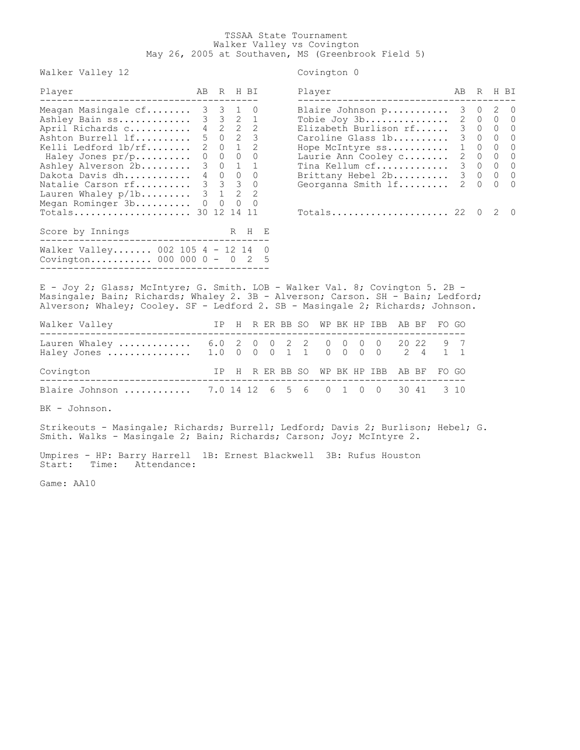## TSSAA State Tournament Walker Valley vs Covington May 26, 2005 at Southaven, MS (Greenbrook Field 5)

Walker Valley 12 Covington 0

| Player                            | AB R H BI |                    | Player                    | AB          | R       | H BI |              |
|-----------------------------------|-----------|--------------------|---------------------------|-------------|---------|------|--------------|
| Meagan Masingale cf 3 3 1 0       |           |                    | Blaire Johnson p          |             | 3 0 2 0 |      |              |
| Ashley Bain ss 3 3 2 1            |           |                    | Tobie Joy 3b              |             | 2 0 0 0 |      |              |
| April Richards c 4 2 2 2          |           |                    | Elizabeth Burlison rf     |             | 3 0 0 0 |      |              |
| Ashton Burrell lf                 |           | 5023               | Caroline Glass 1b         |             | 3 0 0 0 |      |              |
| Kelli Ledford 1b/rf               |           | 2 0 1 2            | Hope McIntyre ss 1 0 0 0  |             |         |      |              |
| Haley Jones pr/p 0 0 0 0          |           |                    | Laurie Ann Cooley c       |             | 2 0 0 0 |      |              |
| Ashley Alverson 2b                |           | $3 \t 0 \t 1 \t 1$ | Tina Kellum cf 3 0 0 0    |             |         |      |              |
| Dakota Davis dh 4 0 0 0           |           |                    | Brittany Hebel 2b 3 0 0 0 |             |         |      |              |
| Natalie Carson rf 3 3 3 0         |           |                    | Georganna Smith If        | $2 \quad 0$ |         |      | $0 \quad 0$  |
| Lauren Whaley $p/1b$ 3 1 2 2      |           |                    |                           |             |         |      |              |
| Megan Rominger 3b 0 0 0 0         |           |                    |                           |             |         |      |              |
| Totals 30 12 14                   |           | -11                | Totals 22 0               |             |         |      | $2\degree$ 0 |
| Score by Innings                  |           | R H E              |                           |             |         |      |              |
| Walker Valley 002 105 4 - 12 14 0 |           |                    |                           |             |         |      |              |
| Covington 000 000 0 - 0 2 5       |           |                    |                           |             |         |      |              |

| Player                                                                                                                                                                                 |                                                             | R                                                             |                                                                               | H RT                                                                                      |
|----------------------------------------------------------------------------------------------------------------------------------------------------------------------------------------|-------------------------------------------------------------|---------------------------------------------------------------|-------------------------------------------------------------------------------|-------------------------------------------------------------------------------------------|
| Blaire Johnson p<br>Tobie Joy 3b<br>Elizabeth Burlison rf<br>Caroline Glass 1b<br>Hope McIntyre ss<br>Laurie Ann Cooley c<br>Tina Kellum cf<br>Brittany Hebel 2b<br>Georganna Smith 1f | 3<br>2<br>3 <sup>7</sup><br>3<br>$2^{\circ}$<br>3<br>3<br>2 | $\cup$<br>$\overline{0}$<br>0<br>0<br>0<br>$\Omega$<br>0<br>0 | 2<br>$\mathbf{0}$<br>0<br>0<br>0<br>$\Omega$<br>$\Omega$<br>0<br><sup>0</sup> | O<br>$\Omega$<br>$\bigcap$<br>$\Omega$<br>$\Omega$<br>$\Omega$<br>$\Omega$<br>$\cap$<br>O |
|                                                                                                                                                                                        |                                                             |                                                               |                                                                               |                                                                                           |

E - Joy 2; Glass; McIntyre; G. Smith. LOB - Walker Val. 8; Covington 5. 2B - Masingale; Bain; Richards; Whaley 2. 3B - Alverson; Carson. SH - Bain; Ledford; Alverson; Whaley; Cooley. SF - Ledford 2. SB - Masingale 2; Richards; Johnson.

| Walker Valley                                      |  |  |  |  | IP H R ER BB SO WP BK HP IBB AB BF FO GO |  |  |
|----------------------------------------------------|--|--|--|--|------------------------------------------|--|--|
| Lauren Whaley  6.0 2 0 0 2 2 0 0 0 0 20 22 9 7     |  |  |  |  |                                          |  |  |
| Covington                                          |  |  |  |  | IP H R ER BB SO WP BK HP IBB AB BF FO GO |  |  |
| Blaire Johnson  7.0 14 12 6 5 6 0 1 0 0 30 41 3 10 |  |  |  |  |                                          |  |  |

BK - Johnson.

Strikeouts - Masingale; Richards; Burrell; Ledford; Davis 2; Burlison; Hebel; G. Smith. Walks - Masingale 2; Bain; Richards; Carson; Joy; McIntyre 2.

Umpires - HP: Barry Harrell 1B: Ernest Blackwell 3B: Rufus Houston Start: Time: Attendance:

Game: AA10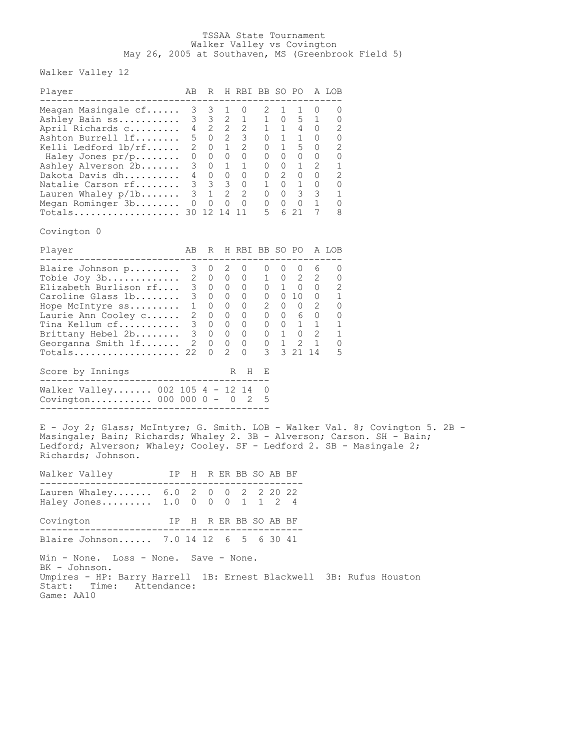## TSSAA State Tournament Walker Valley vs Covington May 26, 2005 at Southaven, MS (Greenbrook Field 5)

Walker Valley 12

| Player                                                                                                                                                                                                                                                                                      | AB |                         |   | R H RBI BB SO PO A LOB     |                   |                |         |        |        |  |
|---------------------------------------------------------------------------------------------------------------------------------------------------------------------------------------------------------------------------------------------------------------------------------------------|----|-------------------------|---|----------------------------|-------------------|----------------|---------|--------|--------|--|
| Meagan Masingale cf<br>Ashley Alverson 2b 3 0 1 1 0 0 1 2 1<br>Dakota Davis dh 4 0 0 0 0 0 2 0 0 2<br>Natalie Carson rf 3 3 3 0 1 0 1 0 0<br>Lauren Whaley p/1b 3 1 2 2 0 0 3 3 1<br>Megan Rominger 3b 0 0 0 0 0 0 0 0 0 1<br>Totals 30 12 14 11 5 6 21 7<br>Covington 0                    |    | $3 \quad 3 \quad 1$     |   | 0                          | 2                 | $\mathbf{1}$   | 1       | $\cup$ | 0<br>8 |  |
| Player                                                                                                                                                                                                                                                                                      |    |                         |   | AB R H RBI BB SO PO A LOB  |                   |                |         |        |        |  |
| Blaire Johnson p<br>$Totals$ 22<br>Score by Innings<br>Walker Valley 002 105 4 - 12 14 0<br>Covington 000 000 0 - 0 2                                                                                                                                                                       |    | 3 0 2<br>$\overline{0}$ | 2 | $\circ$<br>$\Omega$<br>R H | 0<br>3<br>Е<br>-5 | $\overline{0}$ | 3 21 14 | 0 6    | O<br>5 |  |
| E - Joy 2; Glass; McIntyre; G. Smith. LOB - Walker Val. 8; Covington 5. 2B -<br>Masingale; Bain; Richards; Whaley 2. 3B - Alverson; Carson. SH - Bain;<br>Ledford; Alverson; Whaley; Cooley. SF - Ledford 2. SB - Masingale 2;<br>Richards; Johnson.<br>Walker Valley TP H R ER BB SO AB BF |    |                         |   |                            |                   |                |         |        |        |  |
| Lauren Whaley 6.0 2 0 0 2 2 20 22<br>Haley Jones 1.0 0 0 0 1 1 2 4                                                                                                                                                                                                                          |    |                         |   |                            |                   |                |         |        |        |  |
| IP H R ER BB SO AB BF<br>Covington                                                                                                                                                                                                                                                          |    |                         |   |                            |                   |                |         |        |        |  |
| Blaire Johnson 7.0 14 12 6 5 6 30 41                                                                                                                                                                                                                                                        |    |                         |   |                            |                   |                |         |        |        |  |
| Win - None. Loss - None. Save - None.<br>BK - Johnson.<br>Umpires - HP: Barry Harrell 1B: Ernest Blackwell 3B: Rufus Houston<br>Start: Time: Attendance:                                                                                                                                    |    |                         |   |                            |                   |                |         |        |        |  |

Game: AA10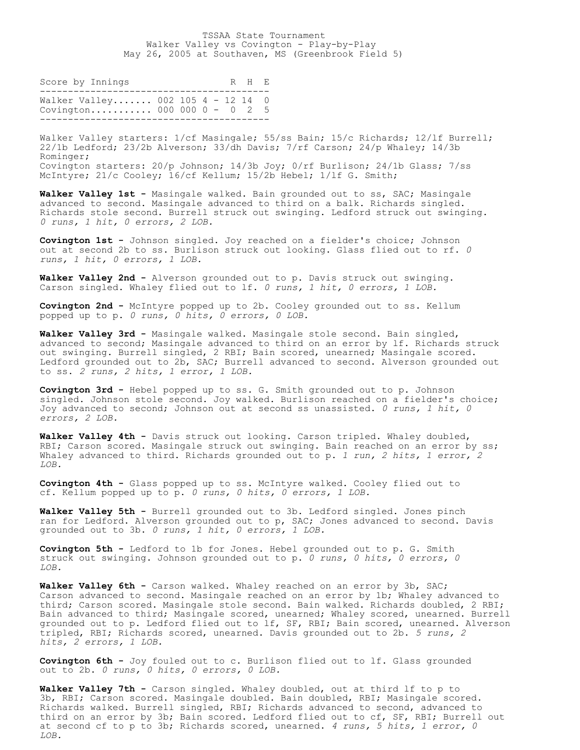## TSSAA State Tournament Walker Valley vs Covington - Play-by-Play May 26, 2005 at Southaven, MS (Greenbrook Field 5)

| Score by Innings                                                 |  |  | R H F. |  |
|------------------------------------------------------------------|--|--|--------|--|
| Walker Valley 002 105 4 - 12 14 0<br>Covington 000 000 0 - 0 2 5 |  |  |        |  |

Walker Valley starters:  $1/cf$  Masingale; 55/ss Bain; 15/c Richards; 12/1f Burrell; 22/1b Ledford; 23/2b Alverson; 33/dh Davis; 7/rf Carson; 24/p Whaley; 14/3b Rominger; Covington starters: 20/p Johnson; 14/3b Joy; 0/rf Burlison; 24/1b Glass; 7/ss McIntyre; 21/c Cooley; 16/cf Kellum; 15/2b Hebel; 1/lf G. Smith;

**Walker Valley 1st -** Masingale walked. Bain grounded out to ss, SAC; Masingale advanced to second. Masingale advanced to third on a balk. Richards singled. Richards stole second. Burrell struck out swinging. Ledford struck out swinging. *0 runs, 1 hit, 0 errors, 2 LOB.*

**Covington 1st -** Johnson singled. Joy reached on a fielder's choice; Johnson out at second 2b to ss. Burlison struck out looking. Glass flied out to rf. *0 runs, 1 hit, 0 errors, 1 LOB.*

**Walker Valley 2nd -** Alverson grounded out to p. Davis struck out swinging. Carson singled. Whaley flied out to lf. *0 runs, 1 hit, 0 errors, 1 LOB.*

**Covington 2nd -** McIntyre popped up to 2b. Cooley grounded out to ss. Kellum popped up to p. *0 runs, 0 hits, 0 errors, 0 LOB.*

**Walker Valley 3rd -** Masingale walked. Masingale stole second. Bain singled, advanced to second; Masingale advanced to third on an error by lf. Richards struck out swinging. Burrell singled, 2 RBI; Bain scored, unearned; Masingale scored. Ledford grounded out to 2b, SAC; Burrell advanced to second. Alverson grounded out to ss. *2 runs, 2 hits, 1 error, 1 LOB.*

**Covington 3rd -** Hebel popped up to ss. G. Smith grounded out to p. Johnson singled. Johnson stole second. Joy walked. Burlison reached on a fielder's choice; Joy advanced to second; Johnson out at second ss unassisted. *0 runs, 1 hit, 0 errors, 2 LOB.*

**Walker Valley 4th -** Davis struck out looking. Carson tripled. Whaley doubled, RBI; Carson scored. Masingale struck out swinging. Bain reached on an error by ss; Whaley advanced to third. Richards grounded out to p. *1 run, 2 hits, 1 error, 2 LOB.*

**Covington 4th -** Glass popped up to ss. McIntyre walked. Cooley flied out to cf. Kellum popped up to p. *0 runs, 0 hits, 0 errors, 1 LOB.*

Walker Valley 5th - Burrell grounded out to 3b. Ledford singled. Jones pinch ran for Ledford. Alverson grounded out to p, SAC; Jones advanced to second. Davis grounded out to 3b. *0 runs, 1 hit, 0 errors, 1 LOB.*

**Covington 5th -** Ledford to 1b for Jones. Hebel grounded out to p. G. Smith struck out swinging. Johnson grounded out to p. *0 runs, 0 hits, 0 errors, 0 LOB.*

Walker Valley 6th - Carson walked. Whaley reached on an error by 3b, SAC; Carson advanced to second. Masingale reached on an error by 1b; Whaley advanced to third; Carson scored. Masingale stole second. Bain walked. Richards doubled, 2 RBI; Bain advanced to third; Masingale scored, unearned; Whaley scored, unearned. Burrell grounded out to p. Ledford flied out to lf, SF, RBI; Bain scored, unearned. Alverson tripled, RBI; Richards scored, unearned. Davis grounded out to 2b. *5 runs, 2 hits, 2 errors, 1 LOB.*

**Covington 6th -** Joy fouled out to c. Burlison flied out to lf. Glass grounded out to 2b. *0 runs, 0 hits, 0 errors, 0 LOB.*

**Walker Valley 7th -** Carson singled. Whaley doubled, out at third lf to p to 3b, RBI; Carson scored. Masingale doubled. Bain doubled, RBI; Masingale scored. Richards walked. Burrell singled, RBI; Richards advanced to second, advanced to third on an error by 3b; Bain scored. Ledford flied out to cf, SF, RBI; Burrell out at second cf to p to 3b; Richards scored, unearned. *4 runs, 5 hits, 1 error, 0 LOB.*